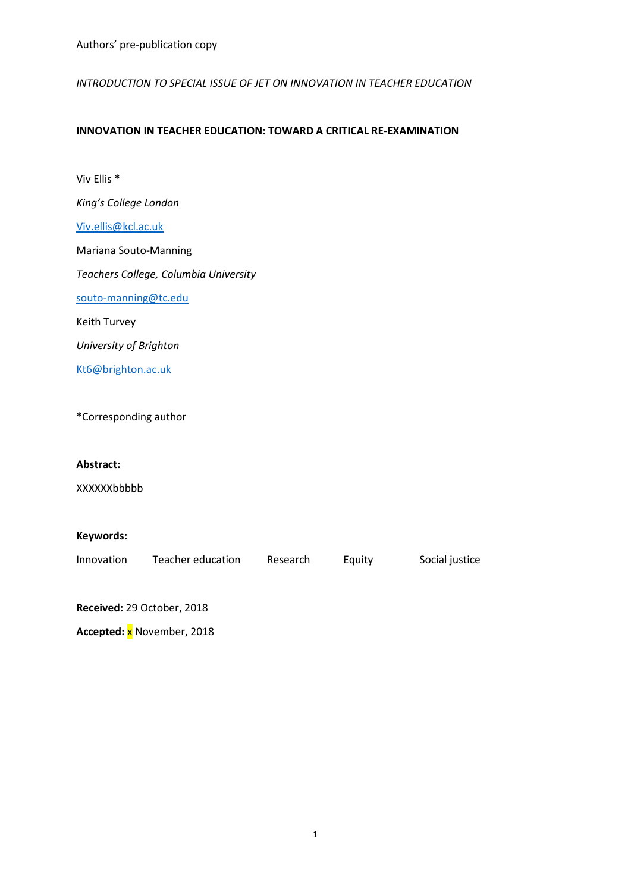*INTRODUCTION TO SPECIAL ISSUE OF JET ON INNOVATION IN TEACHER EDUCATION*

## **INNOVATION IN TEACHER EDUCATION: TOWARD A CRITICAL RE-EXAMINATION**

Viv Ellis \* *King's College London* [Viv.ellis@kcl.ac.uk](mailto:Viv.ellis@kcl.ac.uk) Mariana Souto-Manning *Teachers College, Columbia University* [souto-manning@tc.edu](mailto:souto-manning@tc.edu) Keith Turvey *University of Brighton* [Kt6@brighton.ac.uk](mailto:Kt6@brighton.ac.uk)

\*Corresponding author

### **Abstract:**

XXXXXXbbbbb

## **Keywords:**

| Innovation | Teacher education | Research | Equity | Social justice |
|------------|-------------------|----------|--------|----------------|
|            |                   |          |        |                |

**Received:** 29 October, 2018

**Accepted:** x November, 2018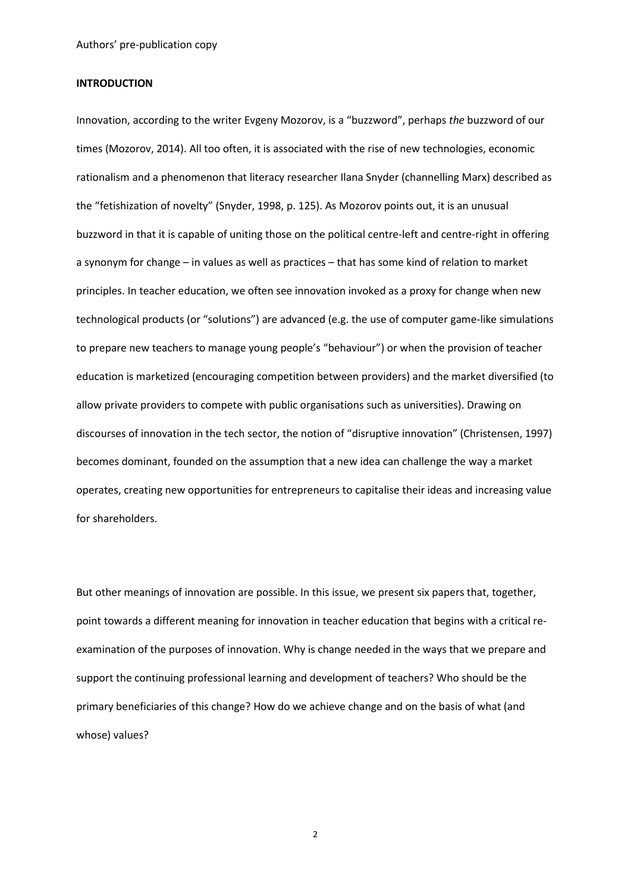#### **INTRODUCTION**

Innovation, according to the writer Evgeny Mozorov, is a "buzzword", perhaps *the* buzzword of our times (Mozorov, 2014). All too often, it is associated with the rise of new technologies, economic rationalism and a phenomenon that literacy researcher Ilana Snyder (channelling Marx) described as the "fetishization of novelty" (Snyder, 1998, p. 125). As Mozorov points out, it is an unusual buzzword in that it is capable of uniting those on the political centre-left and centre-right in offering a synonym for change – in values as well as practices – that has some kind of relation to market principles. In teacher education, we often see innovation invoked as a proxy for change when new technological products (or "solutions") are advanced (e.g. the use of computer game-like simulations to prepare new teachers to manage young people's "behaviour") or when the provision of teacher education is marketized (encouraging competition between providers) and the market diversified (to allow private providers to compete with public organisations such as universities). Drawing on discourses of innovation in the tech sector, the notion of "disruptive innovation" (Christensen, 1997) becomes dominant, founded on the assumption that a new idea can challenge the way a market operates, creating new opportunities for entrepreneurs to capitalise their ideas and increasing value for shareholders.

But other meanings of innovation are possible. In this issue, we present six papers that, together, point towards a different meaning for innovation in teacher education that begins with a critical reexamination of the purposes of innovation. Why is change needed in the ways that we prepare and support the continuing professional learning and development of teachers? Who should be the primary beneficiaries of this change? How do we achieve change and on the basis of what (and whose) values?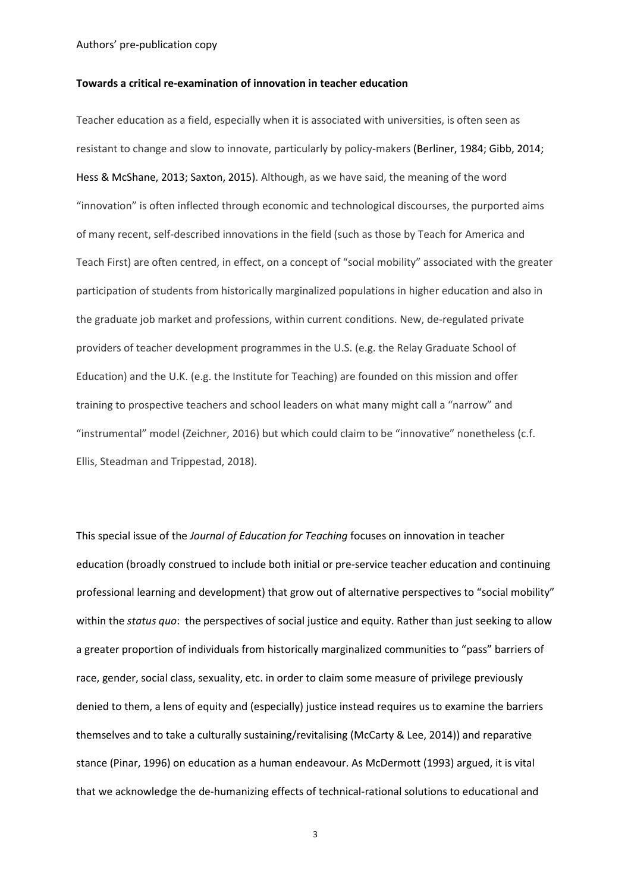#### **Towards a critical re-examination of innovation in teacher education**

Teacher education as a field, especially when it is associated with universities, is often seen as resistant to change and slow to innovate, particularly by policy-makers (Berliner, 1984; Gibb, 2014; Hess & McShane, 2013; Saxton, 2015). Although, as we have said, the meaning of the word "innovation" is often inflected through economic and technological discourses, the purported aims of many recent, self-described innovations in the field (such as those by Teach for America and Teach First) are often centred, in effect, on a concept of "social mobility" associated with the greater participation of students from historically marginalized populations in higher education and also in the graduate job market and professions, within current conditions. New, de-regulated private providers of teacher development programmes in the U.S. (e.g. the Relay Graduate School of Education) and the U.K. (e.g. the Institute for Teaching) are founded on this mission and offer training to prospective teachers and school leaders on what many might call a "narrow" and "instrumental" model (Zeichner, 2016) but which could claim to be "innovative" nonetheless (c.f. Ellis, Steadman and Trippestad, 2018).

This special issue of the *Journal of Education for Teaching* focuses on innovation in teacher education (broadly construed to include both initial or pre-service teacher education and continuing professional learning and development) that grow out of alternative perspectives to "social mobility" within the *status quo*: the perspectives of social justice and equity. Rather than just seeking to allow a greater proportion of individuals from historically marginalized communities to "pass" barriers of race, gender, social class, sexuality, etc. in order to claim some measure of privilege previously denied to them, a lens of equity and (especially) justice instead requires us to examine the barriers themselves and to take a culturally sustaining/revitalising (McCarty & Lee, 2014)) and reparative stance (Pinar, 1996) on education as a human endeavour. As McDermott (1993) argued, it is vital that we acknowledge the de-humanizing effects of technical-rational solutions to educational and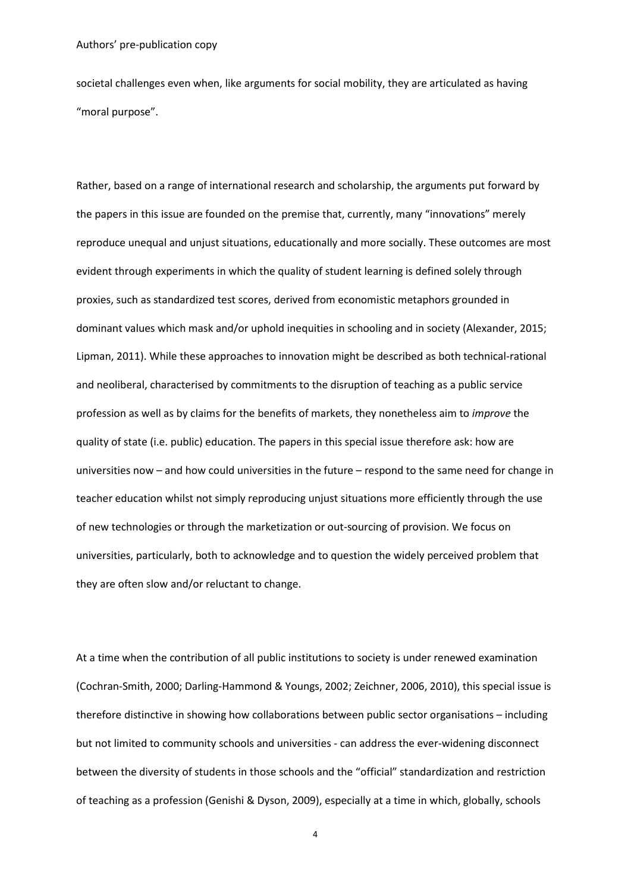societal challenges even when, like arguments for social mobility, they are articulated as having "moral purpose".

Rather, based on a range of international research and scholarship, the arguments put forward by the papers in this issue are founded on the premise that, currently, many "innovations" merely reproduce unequal and unjust situations, educationally and more socially. These outcomes are most evident through experiments in which the quality of student learning is defined solely through proxies, such as standardized test scores, derived from economistic metaphors grounded in dominant values which mask and/or uphold inequities in schooling and in society (Alexander, 2015; Lipman, 2011). While these approaches to innovation might be described as both technical-rational and neoliberal, characterised by commitments to the disruption of teaching as a public service profession as well as by claims for the benefits of markets, they nonetheless aim to *improve* the quality of state (i.e. public) education. The papers in this special issue therefore ask: how are universities now – and how could universities in the future – respond to the same need for change in teacher education whilst not simply reproducing unjust situations more efficiently through the use of new technologies or through the marketization or out-sourcing of provision. We focus on universities, particularly, both to acknowledge and to question the widely perceived problem that they are often slow and/or reluctant to change.

At a time when the contribution of all public institutions to society is under renewed examination (Cochran-Smith, 2000; Darling-Hammond & Youngs, 2002; Zeichner, 2006, 2010), this special issue is therefore distinctive in showing how collaborations between public sector organisations – including but not limited to community schools and universities - can address the ever-widening disconnect between the diversity of students in those schools and the "official" standardization and restriction of teaching as a profession (Genishi & Dyson, 2009), especially at a time in which, globally, schools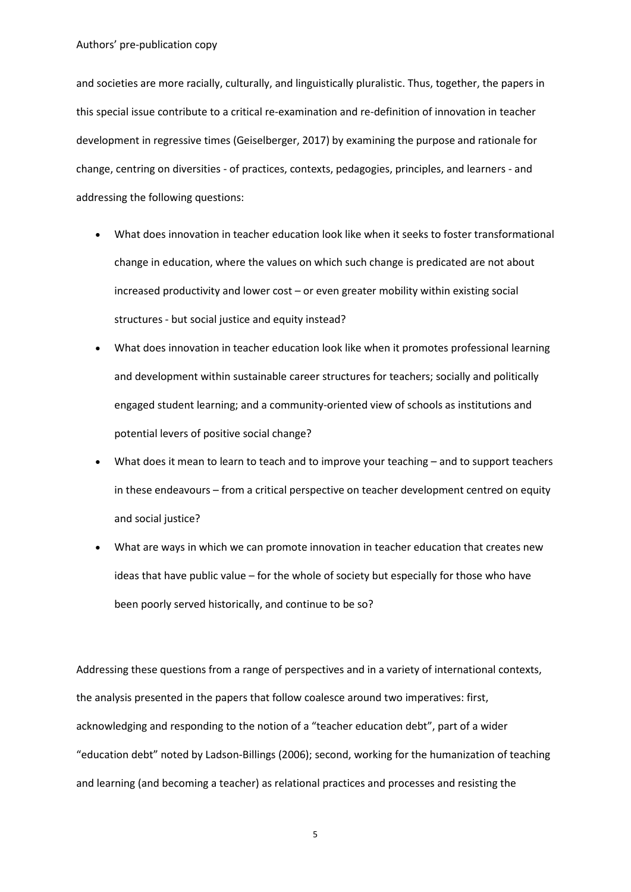and societies are more racially, culturally, and linguistically pluralistic. Thus, together, the papers in this special issue contribute to a critical re-examination and re-definition of innovation in teacher development in regressive times (Geiselberger, 2017) by examining the purpose and rationale for change, centring on diversities - of practices, contexts, pedagogies, principles, and learners - and addressing the following questions:

- What does innovation in teacher education look like when it seeks to foster transformational change in education, where the values on which such change is predicated are not about increased productivity and lower cost – or even greater mobility within existing social structures - but social justice and equity instead?
- What does innovation in teacher education look like when it promotes professional learning and development within sustainable career structures for teachers; socially and politically engaged student learning; and a community-oriented view of schools as institutions and potential levers of positive social change?
- What does it mean to learn to teach and to improve your teaching and to support teachers in these endeavours – from a critical perspective on teacher development centred on equity and social justice?
- What are ways in which we can promote innovation in teacher education that creates new ideas that have public value – for the whole of society but especially for those who have been poorly served historically, and continue to be so?

Addressing these questions from a range of perspectives and in a variety of international contexts, the analysis presented in the papers that follow coalesce around two imperatives: first, acknowledging and responding to the notion of a "teacher education debt", part of a wider "education debt" noted by Ladson-Billings (2006); second, working for the humanization of teaching and learning (and becoming a teacher) as relational practices and processes and resisting the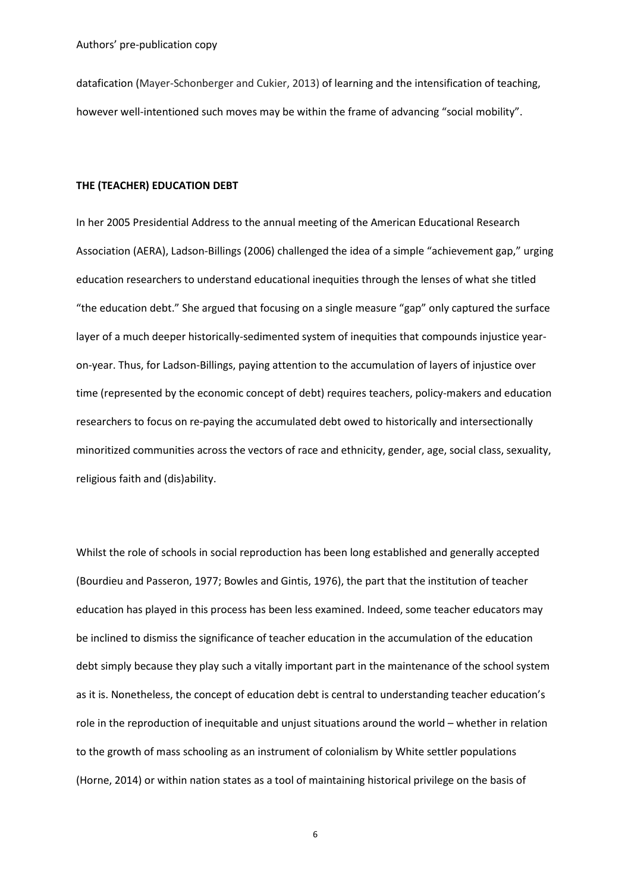datafication (Mayer-Schonberger and Cukier, 2013) of learning and the intensification of teaching, however well-intentioned such moves may be within the frame of advancing "social mobility".

#### **THE (TEACHER) EDUCATION DEBT**

In her 2005 Presidential Address to the annual meeting of the American Educational Research Association (AERA), Ladson-Billings (2006) challenged the idea of a simple "achievement gap," urging education researchers to understand educational inequities through the lenses of what she titled "the education debt." She argued that focusing on a single measure "gap" only captured the surface layer of a much deeper historically-sedimented system of inequities that compounds injustice yearon-year. Thus, for Ladson-Billings, paying attention to the accumulation of layers of injustice over time (represented by the economic concept of debt) requires teachers, policy-makers and education researchers to focus on re-paying the accumulated debt owed to historically and intersectionally minoritized communities across the vectors of race and ethnicity, gender, age, social class, sexuality, religious faith and (dis)ability.

Whilst the role of schools in social reproduction has been long established and generally accepted (Bourdieu and Passeron, 1977; Bowles and Gintis, 1976), the part that the institution of teacher education has played in this process has been less examined. Indeed, some teacher educators may be inclined to dismiss the significance of teacher education in the accumulation of the education debt simply because they play such a vitally important part in the maintenance of the school system as it is. Nonetheless, the concept of education debt is central to understanding teacher education's role in the reproduction of inequitable and unjust situations around the world – whether in relation to the growth of mass schooling as an instrument of colonialism by White settler populations (Horne, 2014) or within nation states as a tool of maintaining historical privilege on the basis of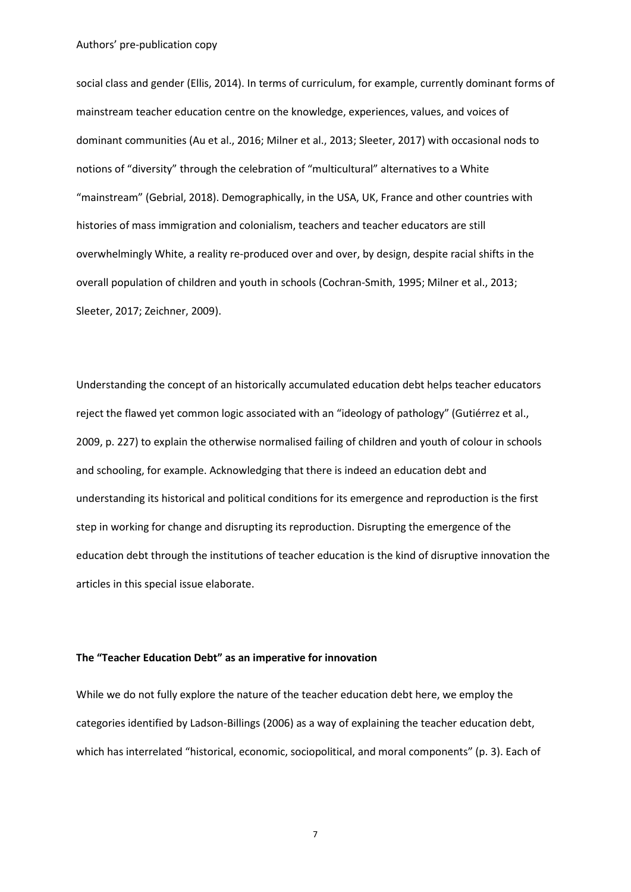social class and gender (Ellis, 2014). In terms of curriculum, for example, currently dominant forms of mainstream teacher education centre on the knowledge, experiences, values, and voices of dominant communities (Au et al., 2016; Milner et al., 2013; Sleeter, 2017) with occasional nods to notions of "diversity" through the celebration of "multicultural" alternatives to a White "mainstream" (Gebrial, 2018). Demographically, in the USA, UK, France and other countries with histories of mass immigration and colonialism, teachers and teacher educators are still overwhelmingly White, a reality re-produced over and over, by design, despite racial shifts in the overall population of children and youth in schools (Cochran-Smith, 1995; Milner et al., 2013; Sleeter, 2017; Zeichner, 2009).

Understanding the concept of an historically accumulated education debt helps teacher educators reject the flawed yet common logic associated with an "ideology of pathology" (Gutiérrez et al., 2009, p. 227) to explain the otherwise normalised failing of children and youth of colour in schools and schooling, for example. Acknowledging that there is indeed an education debt and understanding its historical and political conditions for its emergence and reproduction is the first step in working for change and disrupting its reproduction. Disrupting the emergence of the education debt through the institutions of teacher education is the kind of disruptive innovation the articles in this special issue elaborate.

# **The "Teacher Education Debt" as an imperative for innovation**

While we do not fully explore the nature of the teacher education debt here, we employ the categories identified by Ladson-Billings (2006) as a way of explaining the teacher education debt, which has interrelated "historical, economic, sociopolitical, and moral components" (p. 3). Each of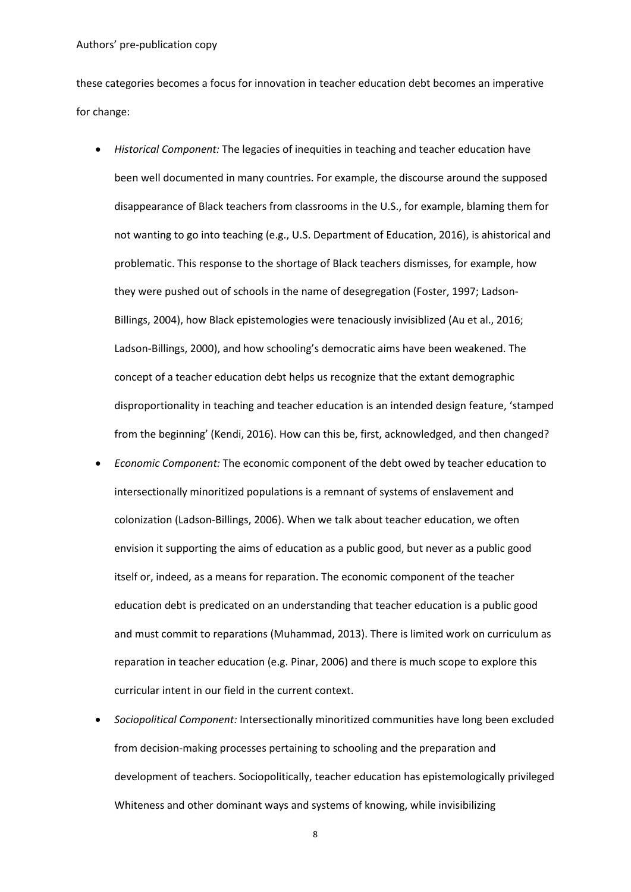these categories becomes a focus for innovation in teacher education debt becomes an imperative for change:

- *Historical Component:* The legacies of inequities in teaching and teacher education have been well documented in many countries. For example, the discourse around the supposed disappearance of Black teachers from classrooms in the U.S., for example, blaming them for not wanting to go into teaching (e.g., U.S. Department of Education, 2016), is ahistorical and problematic. This response to the shortage of Black teachers dismisses, for example, how they were pushed out of schools in the name of desegregation (Foster, 1997; Ladson-Billings, 2004), how Black epistemologies were tenaciously invisiblized (Au et al., 2016; Ladson-Billings, 2000), and how schooling's democratic aims have been weakened. The concept of a teacher education debt helps us recognize that the extant demographic disproportionality in teaching and teacher education is an intended design feature, 'stamped from the beginning' (Kendi, 2016). How can this be, first, acknowledged, and then changed?
- *Economic Component:* The economic component of the debt owed by teacher education to intersectionally minoritized populations is a remnant of systems of enslavement and colonization (Ladson-Billings, 2006). When we talk about teacher education, we often envision it supporting the aims of education as a public good, but never as a public good itself or, indeed, as a means for reparation. The economic component of the teacher education debt is predicated on an understanding that teacher education is a public good and must commit to reparations (Muhammad, 2013). There is limited work on curriculum as reparation in teacher education (e.g. Pinar, 2006) and there is much scope to explore this curricular intent in our field in the current context.
- *Sociopolitical Component:* Intersectionally minoritized communities have long been excluded from decision-making processes pertaining to schooling and the preparation and development of teachers. Sociopolitically, teacher education has epistemologically privileged Whiteness and other dominant ways and systems of knowing, while invisibilizing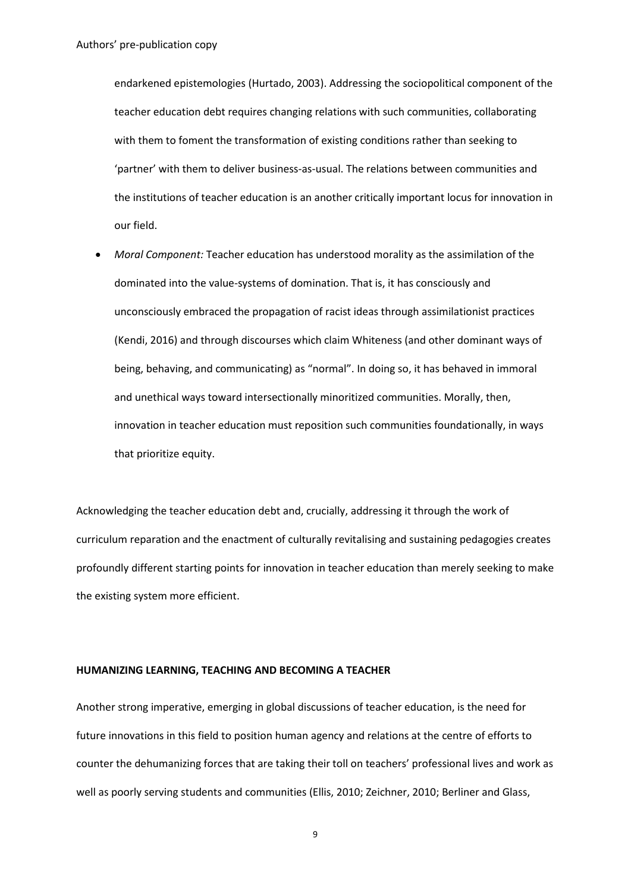endarkened epistemologies (Hurtado, 2003). Addressing the sociopolitical component of the teacher education debt requires changing relations with such communities, collaborating with them to foment the transformation of existing conditions rather than seeking to 'partner' with them to deliver business-as-usual. The relations between communities and the institutions of teacher education is an another critically important locus for innovation in our field.

• *Moral Component:* Teacher education has understood morality as the assimilation of the dominated into the value-systems of domination. That is, it has consciously and unconsciously embraced the propagation of racist ideas through assimilationist practices (Kendi, 2016) and through discourses which claim Whiteness (and other dominant ways of being, behaving, and communicating) as "normal". In doing so, it has behaved in immoral and unethical ways toward intersectionally minoritized communities. Morally, then, innovation in teacher education must reposition such communities foundationally, in ways that prioritize equity.

Acknowledging the teacher education debt and, crucially, addressing it through the work of curriculum reparation and the enactment of culturally revitalising and sustaining pedagogies creates profoundly different starting points for innovation in teacher education than merely seeking to make the existing system more efficient.

#### **HUMANIZING LEARNING, TEACHING AND BECOMING A TEACHER**

Another strong imperative, emerging in global discussions of teacher education, is the need for future innovations in this field to position human agency and relations at the centre of efforts to counter the dehumanizing forces that are taking their toll on teachers' professional lives and work as well as poorly serving students and communities (Ellis, 2010; Zeichner, 2010; Berliner and Glass,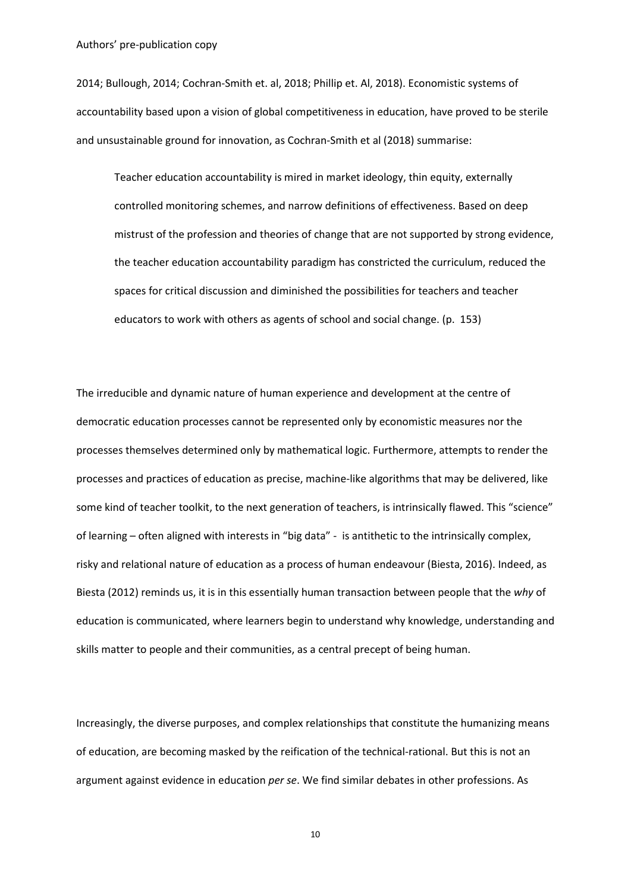2014; Bullough, 2014; Cochran-Smith et. al, 2018; Phillip et. Al, 2018). Economistic systems of accountability based upon a vision of global competitiveness in education, have proved to be sterile and unsustainable ground for innovation, as Cochran-Smith et al (2018) summarise:

Teacher education accountability is mired in market ideology, thin equity, externally controlled monitoring schemes, and narrow definitions of effectiveness. Based on deep mistrust of the profession and theories of change that are not supported by strong evidence, the teacher education accountability paradigm has constricted the curriculum, reduced the spaces for critical discussion and diminished the possibilities for teachers and teacher educators to work with others as agents of school and social change. (p. 153)

The irreducible and dynamic nature of human experience and development at the centre of democratic education processes cannot be represented only by economistic measures nor the processes themselves determined only by mathematical logic. Furthermore, attempts to render the processes and practices of education as precise, machine-like algorithms that may be delivered, like some kind of teacher toolkit, to the next generation of teachers, is intrinsically flawed. This "science" of learning – often aligned with interests in "big data" - is antithetic to the intrinsically complex, risky and relational nature of education as a process of human endeavour (Biesta, 2016). Indeed, as Biesta (2012) reminds us, it is in this essentially human transaction between people that the *why* of education is communicated, where learners begin to understand why knowledge, understanding and skills matter to people and their communities, as a central precept of being human.

Increasingly, the diverse purposes, and complex relationships that constitute the humanizing means of education, are becoming masked by the reification of the technical-rational. But this is not an argument against evidence in education *per se*. We find similar debates in other professions. As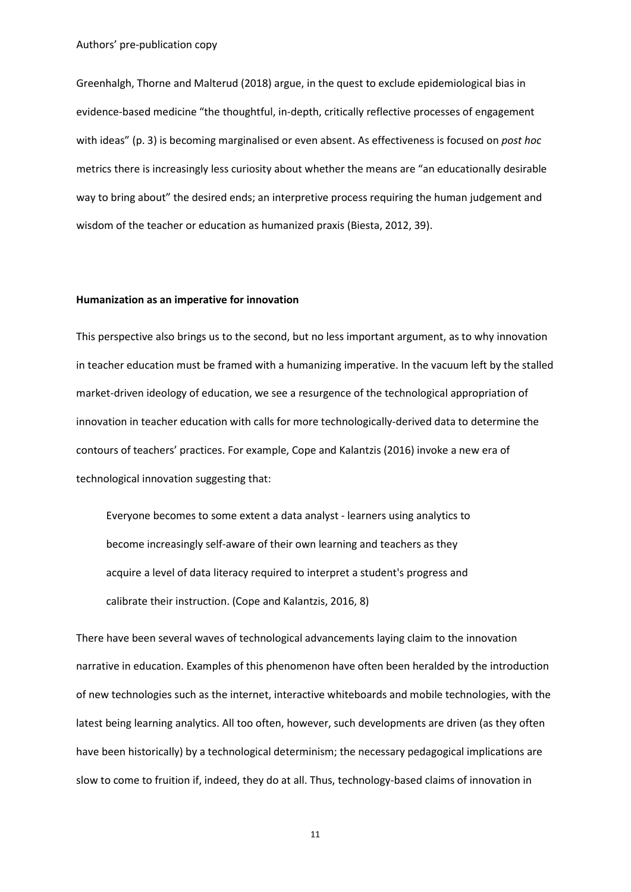Greenhalgh, Thorne and Malterud (2018) argue, in the quest to exclude epidemiological bias in evidence-based medicine "the thoughtful, in-depth, critically reflective processes of engagement with ideas" (p. 3) is becoming marginalised or even absent. As effectiveness is focused on *post hoc*  metrics there is increasingly less curiosity about whether the means are "an educationally desirable way to bring about" the desired ends; an interpretive process requiring the human judgement and wisdom of the teacher or education as humanized praxis (Biesta, 2012, 39).

### **Humanization as an imperative for innovation**

This perspective also brings us to the second, but no less important argument, as to why innovation in teacher education must be framed with a humanizing imperative. In the vacuum left by the stalled market-driven ideology of education, we see a resurgence of the technological appropriation of innovation in teacher education with calls for more technologically-derived data to determine the contours of teachers' practices. For example, Cope and Kalantzis (2016) invoke a new era of technological innovation suggesting that:

Everyone becomes to some extent a data analyst - learners using analytics to become increasingly self-aware of their own learning and teachers as they acquire a level of data literacy required to interpret a student's progress and calibrate their instruction. (Cope and Kalantzis, 2016, 8)

There have been several waves of technological advancements laying claim to the innovation narrative in education. Examples of this phenomenon have often been heralded by the introduction of new technologies such as the internet, interactive whiteboards and mobile technologies, with the latest being learning analytics. All too often, however, such developments are driven (as they often have been historically) by a technological determinism; the necessary pedagogical implications are slow to come to fruition if, indeed, they do at all. Thus, technology-based claims of innovation in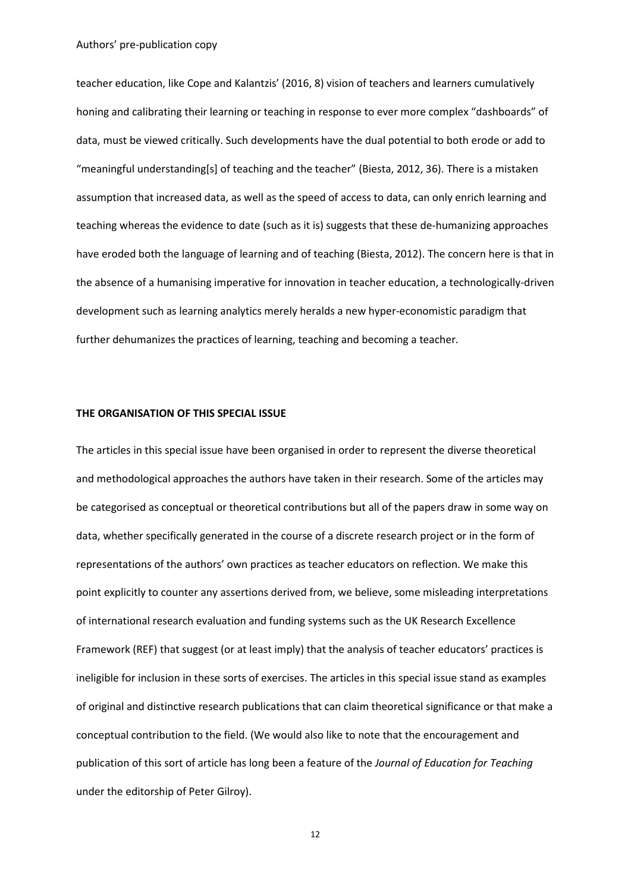teacher education, like Cope and Kalantzis' (2016, 8) vision of teachers and learners cumulatively honing and calibrating their learning or teaching in response to ever more complex "dashboards" of data, must be viewed critically. Such developments have the dual potential to both erode or add to "meaningful understanding[s] of teaching and the teacher" (Biesta, 2012, 36). There is a mistaken assumption that increased data, as well as the speed of access to data, can only enrich learning and teaching whereas the evidence to date (such as it is) suggests that these de-humanizing approaches have eroded both the language of learning and of teaching (Biesta, 2012). The concern here is that in the absence of a humanising imperative for innovation in teacher education, a technologically-driven development such as learning analytics merely heralds a new hyper-economistic paradigm that further dehumanizes the practices of learning, teaching and becoming a teacher.

#### **THE ORGANISATION OF THIS SPECIAL ISSUE**

The articles in this special issue have been organised in order to represent the diverse theoretical and methodological approaches the authors have taken in their research. Some of the articles may be categorised as conceptual or theoretical contributions but all of the papers draw in some way on data, whether specifically generated in the course of a discrete research project or in the form of representations of the authors' own practices as teacher educators on reflection. We make this point explicitly to counter any assertions derived from, we believe, some misleading interpretations of international research evaluation and funding systems such as the UK Research Excellence Framework (REF) that suggest (or at least imply) that the analysis of teacher educators' practices is ineligible for inclusion in these sorts of exercises. The articles in this special issue stand as examples of original and distinctive research publications that can claim theoretical significance or that make a conceptual contribution to the field. (We would also like to note that the encouragement and publication of this sort of article has long been a feature of the *Journal of Education for Teaching* under the editorship of Peter Gilroy).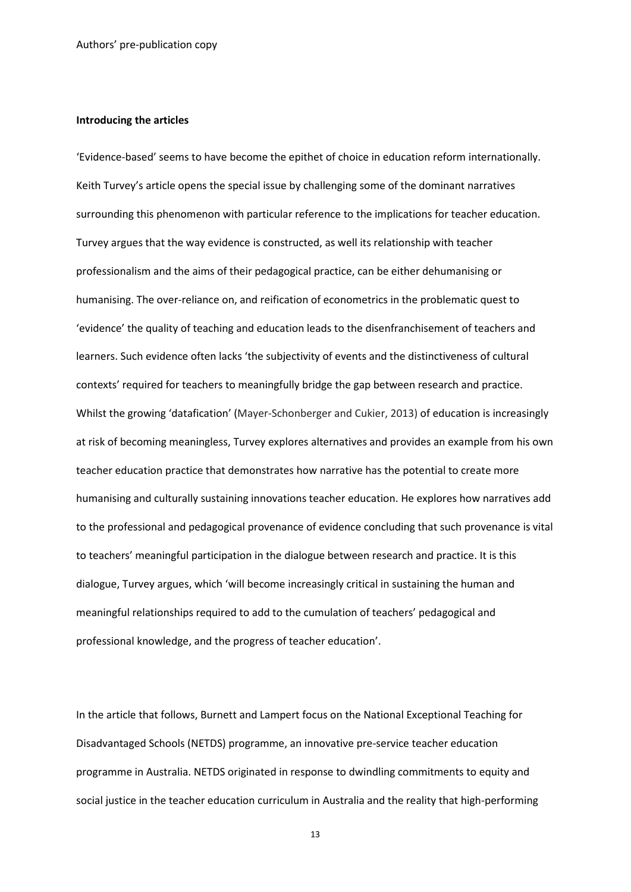#### **Introducing the articles**

'Evidence-based' seems to have become the epithet of choice in education reform internationally. Keith Turvey's article opens the special issue by challenging some of the dominant narratives surrounding this phenomenon with particular reference to the implications for teacher education. Turvey argues that the way evidence is constructed, as well its relationship with teacher professionalism and the aims of their pedagogical practice, can be either dehumanising or humanising. The over-reliance on, and reification of econometrics in the problematic quest to 'evidence' the quality of teaching and education leads to the disenfranchisement of teachers and learners. Such evidence often lacks 'the subjectivity of events and the distinctiveness of cultural contexts' required for teachers to meaningfully bridge the gap between research and practice. Whilst the growing 'datafication' (Mayer-Schonberger and Cukier, 2013) of education is increasingly at risk of becoming meaningless, Turvey explores alternatives and provides an example from his own teacher education practice that demonstrates how narrative has the potential to create more humanising and culturally sustaining innovations teacher education. He explores how narratives add to the professional and pedagogical provenance of evidence concluding that such provenance is vital to teachers' meaningful participation in the dialogue between research and practice. It is this dialogue, Turvey argues, which 'will become increasingly critical in sustaining the human and meaningful relationships required to add to the cumulation of teachers' pedagogical and professional knowledge, and the progress of teacher education'.

In the article that follows, Burnett and Lampert focus on the National Exceptional Teaching for Disadvantaged Schools (NETDS) programme, an innovative pre-service teacher education programme in Australia. NETDS originated in response to dwindling commitments to equity and social justice in the teacher education curriculum in Australia and the reality that high-performing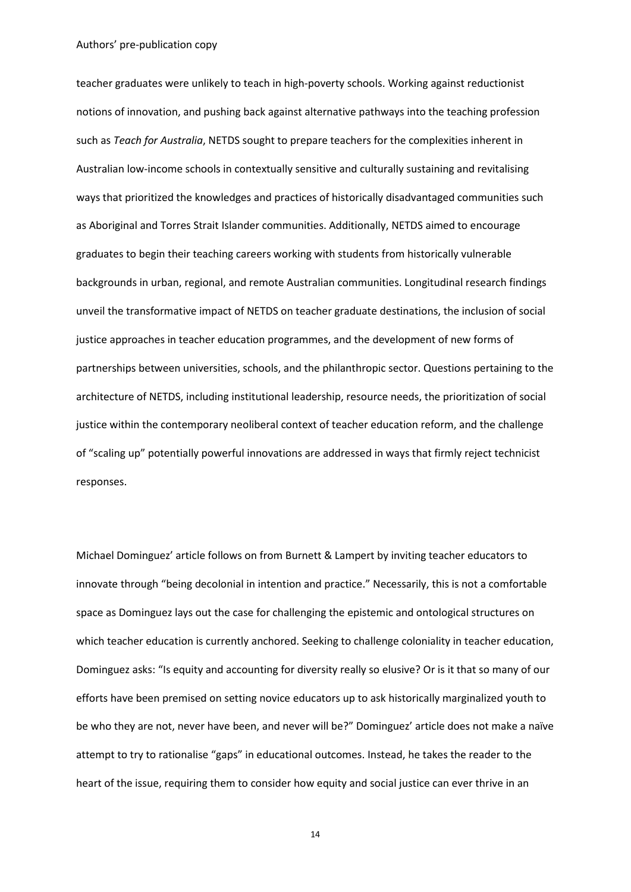teacher graduates were unlikely to teach in high-poverty schools. Working against reductionist notions of innovation, and pushing back against alternative pathways into the teaching profession such as *Teach for Australia*, NETDS sought to prepare teachers for the complexities inherent in Australian low-income schools in contextually sensitive and culturally sustaining and revitalising ways that prioritized the knowledges and practices of historically disadvantaged communities such as Aboriginal and Torres Strait Islander communities. Additionally, NETDS aimed to encourage graduates to begin their teaching careers working with students from historically vulnerable backgrounds in urban, regional, and remote Australian communities. Longitudinal research findings unveil the transformative impact of NETDS on teacher graduate destinations, the inclusion of social justice approaches in teacher education programmes, and the development of new forms of partnerships between universities, schools, and the philanthropic sector. Questions pertaining to the architecture of NETDS, including institutional leadership, resource needs, the prioritization of social justice within the contemporary neoliberal context of teacher education reform, and the challenge of "scaling up" potentially powerful innovations are addressed in ways that firmly reject technicist responses.

Michael Dominguez' article follows on from Burnett & Lampert by inviting teacher educators to innovate through "being decolonial in intention and practice." Necessarily, this is not a comfortable space as Dominguez lays out the case for challenging the epistemic and ontological structures on which teacher education is currently anchored. Seeking to challenge coloniality in teacher education, Dominguez asks: "Is equity and accounting for diversity really so elusive? Or is it that so many of our efforts have been premised on setting novice educators up to ask historically marginalized youth to be who they are not, never have been, and never will be?" Dominguez' article does not make a naïve attempt to try to rationalise "gaps" in educational outcomes. Instead, he takes the reader to the heart of the issue, requiring them to consider how equity and social justice can ever thrive in an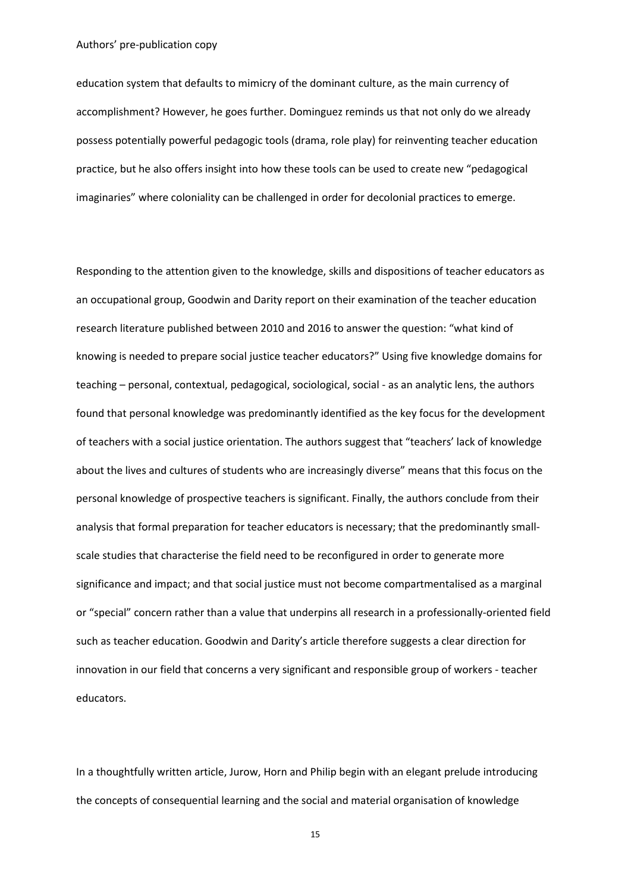education system that defaults to mimicry of the dominant culture, as the main currency of accomplishment? However, he goes further. Dominguez reminds us that not only do we already possess potentially powerful pedagogic tools (drama, role play) for reinventing teacher education practice, but he also offers insight into how these tools can be used to create new "pedagogical imaginaries" where coloniality can be challenged in order for decolonial practices to emerge.

Responding to the attention given to the knowledge, skills and dispositions of teacher educators as an occupational group, Goodwin and Darity report on their examination of the teacher education research literature published between 2010 and 2016 to answer the question: "what kind of knowing is needed to prepare social justice teacher educators?" Using five knowledge domains for teaching – personal, contextual, pedagogical, sociological, social - as an analytic lens, the authors found that personal knowledge was predominantly identified as the key focus for the development of teachers with a social justice orientation. The authors suggest that "teachers' lack of knowledge about the lives and cultures of students who are increasingly diverse" means that this focus on the personal knowledge of prospective teachers is significant. Finally, the authors conclude from their analysis that formal preparation for teacher educators is necessary; that the predominantly smallscale studies that characterise the field need to be reconfigured in order to generate more significance and impact; and that social justice must not become compartmentalised as a marginal or "special" concern rather than a value that underpins all research in a professionally-oriented field such as teacher education. Goodwin and Darity's article therefore suggests a clear direction for innovation in our field that concerns a very significant and responsible group of workers - teacher educators.

In a thoughtfully written article, Jurow, Horn and Philip begin with an elegant prelude introducing the concepts of consequential learning and the social and material organisation of knowledge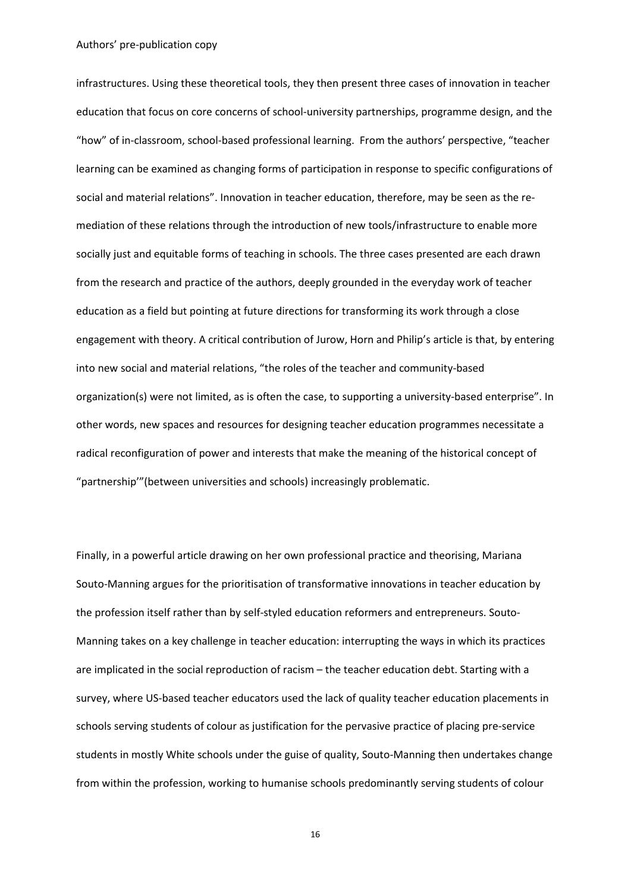infrastructures. Using these theoretical tools, they then present three cases of innovation in teacher education that focus on core concerns of school-university partnerships, programme design, and the "how" of in-classroom, school-based professional learning. From the authors' perspective, "teacher learning can be examined as changing forms of participation in response to specific configurations of social and material relations". Innovation in teacher education, therefore, may be seen as the remediation of these relations through the introduction of new tools/infrastructure to enable more socially just and equitable forms of teaching in schools. The three cases presented are each drawn from the research and practice of the authors, deeply grounded in the everyday work of teacher education as a field but pointing at future directions for transforming its work through a close engagement with theory. A critical contribution of Jurow, Horn and Philip's article is that, by entering into new social and material relations, "the roles of the teacher and community-based organization(s) were not limited, as is often the case, to supporting a university-based enterprise". In other words, new spaces and resources for designing teacher education programmes necessitate a radical reconfiguration of power and interests that make the meaning of the historical concept of "partnership'"(between universities and schools) increasingly problematic.

Finally, in a powerful article drawing on her own professional practice and theorising, Mariana Souto-Manning argues for the prioritisation of transformative innovations in teacher education by the profession itself rather than by self-styled education reformers and entrepreneurs. Souto-Manning takes on a key challenge in teacher education: interrupting the ways in which its practices are implicated in the social reproduction of racism – the teacher education debt. Starting with a survey, where US-based teacher educators used the lack of quality teacher education placements in schools serving students of colour as justification for the pervasive practice of placing pre-service students in mostly White schools under the guise of quality, Souto-Manning then undertakes change from within the profession, working to humanise schools predominantly serving students of colour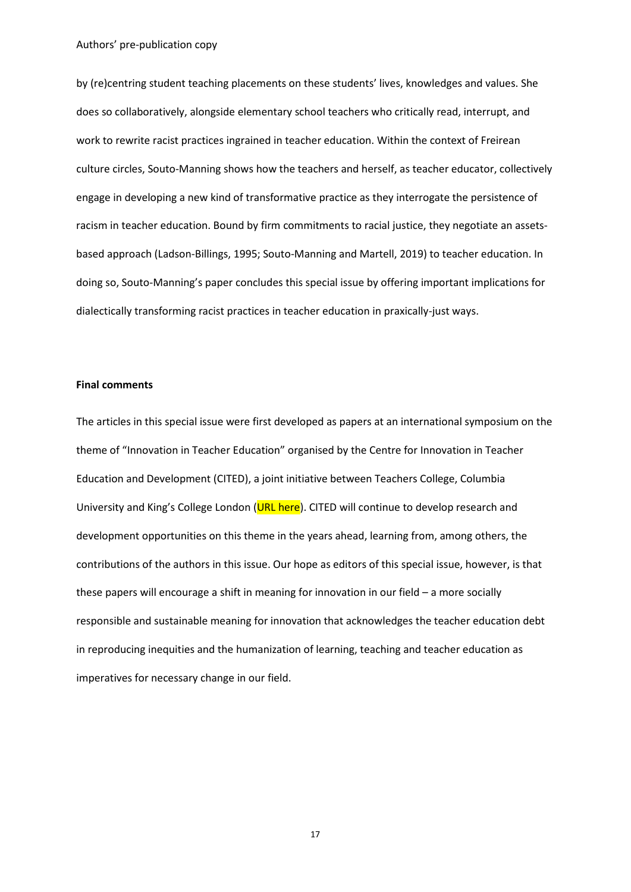by (re)centring student teaching placements on these students' lives, knowledges and values. She does so collaboratively, alongside elementary school teachers who critically read, interrupt, and work to rewrite racist practices ingrained in teacher education. Within the context of Freirean culture circles, Souto-Manning shows how the teachers and herself, as teacher educator, collectively engage in developing a new kind of transformative practice as they interrogate the persistence of racism in teacher education. Bound by firm commitments to racial justice, they negotiate an assetsbased approach (Ladson-Billings, 1995; Souto-Manning and Martell, 2019) to teacher education. In doing so, Souto-Manning's paper concludes this special issue by offering important implications for dialectically transforming racist practices in teacher education in praxically-just ways.

#### **Final comments**

The articles in this special issue were first developed as papers at an international symposium on the theme of "Innovation in Teacher Education" organised by the Centre for Innovation in Teacher Education and Development (CITED), a joint initiative between Teachers College, Columbia University and King's College London (URL here). CITED will continue to develop research and development opportunities on this theme in the years ahead, learning from, among others, the contributions of the authors in this issue. Our hope as editors of this special issue, however, is that these papers will encourage a shift in meaning for innovation in our field – a more socially responsible and sustainable meaning for innovation that acknowledges the teacher education debt in reproducing inequities and the humanization of learning, teaching and teacher education as imperatives for necessary change in our field.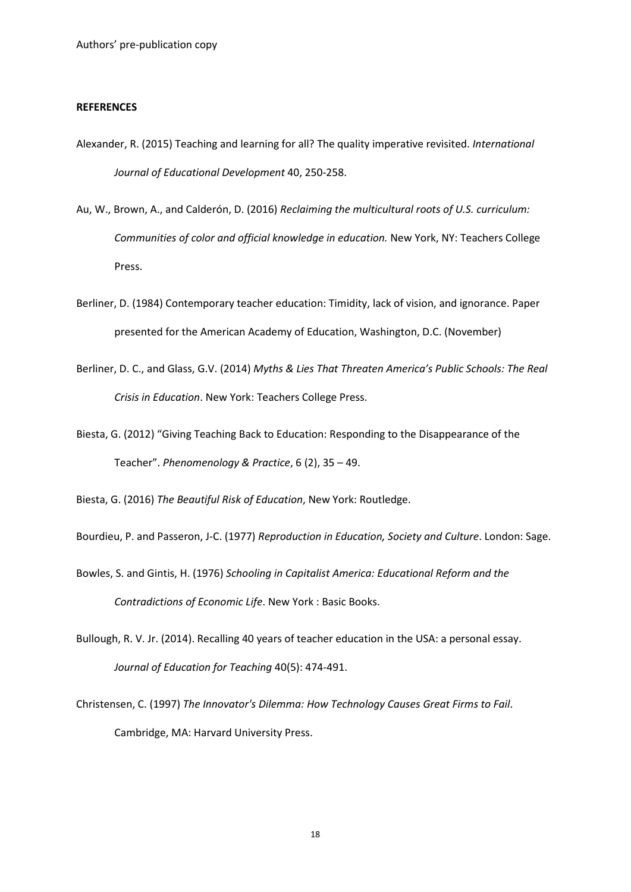### **REFERENCES**

- Alexander, R. (2015) Teaching and learning for all? The quality imperative revisited. *International Journal of Educational Development* 40, 250-258.
- Au, W., Brown, A., and Calderón, D. (2016) *Reclaiming the multicultural roots of U.S. curriculum:*  Communities of color and official knowledge in education. New York, NY: Teachers College Press.
- Berliner, D. (1984) Contemporary teacher education: Timidity, lack of vision, and ignorance. Paper presented for the American Academy of Education, Washington, D.C. (November)
- Berliner, D. C., and Glass, G.V. (2014) *Myths & Lies That Threaten America's Public Schools: The Real Crisis in Education*. New York: Teachers College Press.
- Biesta, G. (2012) "Giving Teaching Back to Education: Responding to the Disappearance of the Teacher". *Phenomenology & Practice*, 6 (2), 35 – 49.

Biesta, G. (2016) *The Beautiful Risk of Education*, New York: Routledge.

Bourdieu, P. and Passeron, J-C. (1977) *Reproduction in Education, Society and Culture*. London: Sage.

- Bowles, S. and Gintis, H. (1976) *Schooling in Capitalist America: Educational Reform and the Contradictions of Economic Life*. New York : Basic Books.
- Bullough, R. V. Jr. (2014). Recalling 40 years of teacher education in the USA: a personal essay. *Journal of Education for Teaching* 40(5): 474-491.
- Christensen, C. (1997) *The Innovator's Dilemma: How Technology Causes Great Firms to Fail*. Cambridge, MA: Harvard University Press.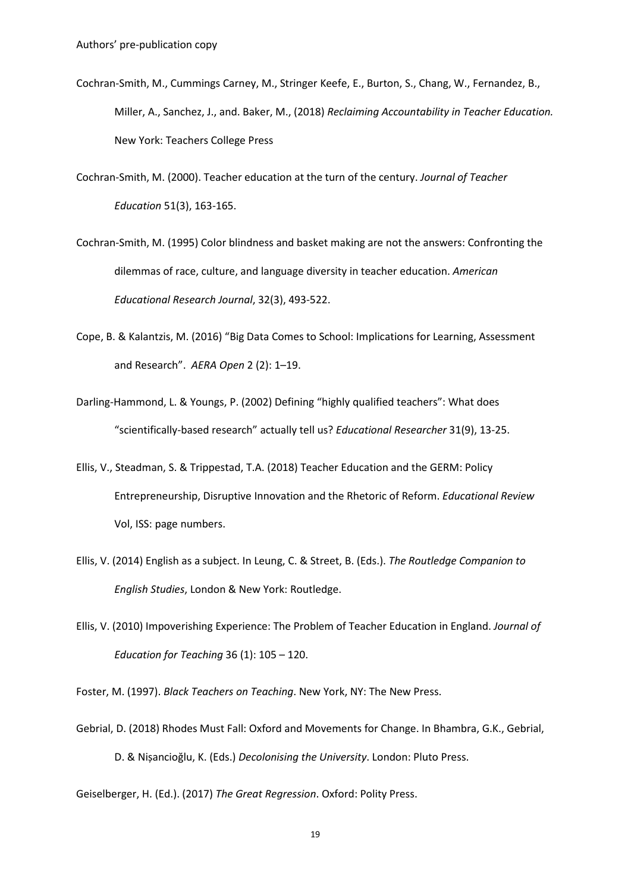- Cochran-Smith, M., Cummings Carney, M., Stringer Keefe, E., Burton, S., Chang, W., Fernandez, B., Miller, A., Sanchez, J., and. Baker, M., (2018) *Reclaiming Accountability in Teacher Education.*  New York: Teachers College Press
- Cochran-Smith, M. (2000). Teacher education at the turn of the century. *Journal of Teacher Education* 51(3), 163-165.
- Cochran-Smith, M. (1995) Color blindness and basket making are not the answers: Confronting the dilemmas of race, culture, and language diversity in teacher education. *American Educational Research Journal*, 32(3), 493-522.
- Cope, B. & Kalantzis, M. (2016) "Big Data Comes to School: Implications for Learning, Assessment and Research". *AERA Open* 2 (2): 1–19.
- Darling-Hammond, L. & Youngs, P. (2002) Defining "highly qualified teachers": What does "scientifically-based research" actually tell us? *Educational Researcher* 31(9), 13-25.
- Ellis, V., Steadman, S. & Trippestad, T.A. (2018) Teacher Education and the GERM: Policy Entrepreneurship, Disruptive Innovation and the Rhetoric of Reform. *Educational Review*  Vol, ISS: page numbers.
- Ellis, V. (2014) English as a subject. In Leung, C. & Street, B. (Eds.). *The Routledge Companion to English Studies*, London & New York: Routledge.
- Ellis, V. (2010) Impoverishing Experience: The Problem of Teacher Education in England. *Journal of Education for Teaching* 36 (1): 105 – 120.

Foster, M. (1997). *Black Teachers on Teaching*. New York, NY: The New Press.

Gebrial, D. (2018) Rhodes Must Fall: Oxford and Movements for Change. In Bhambra, G.K., Gebrial, D. & Nișancioğlu, K. (Eds.) *Decolonising the University*. London: Pluto Press.

Geiselberger, H. (Ed.). (2017) *The Great Regression*. Oxford: Polity Press.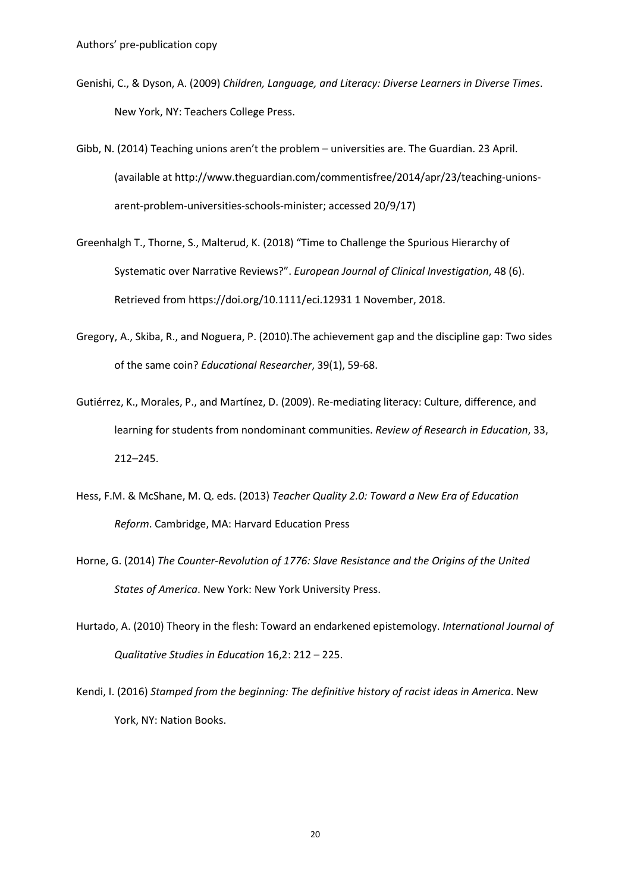- Genishi, C., & Dyson, A. (2009) *Children, Language, and Literacy: Diverse Learners in Diverse Times*. New York, NY: Teachers College Press.
- Gibb, N. (2014) Teaching unions aren't the problem universities are. The Guardian. 23 April. (available at http://www.theguardian.com/commentisfree/2014/apr/23/teaching-unionsarent-problem-universities-schools-minister; accessed 20/9/17)
- Greenhalgh T., Thorne, S., Malterud, K. (2018) "Time to Challenge the Spurious Hierarchy of Systematic over Narrative Reviews?". *European Journal of Clinical Investigation*, 48 (6). Retrieved from<https://doi.org/10.1111/eci.12931> 1 November, 2018.
- Gregory, A., Skiba, R., and Noguera, P. (2010).The achievement gap and the discipline gap: Two sides of the same coin? *Educational Researcher*, 39(1), 59-68.
- Gutiérrez, K., Morales, P., and Martínez, D. (2009). Re-mediating literacy: Culture, difference, and learning for students from nondominant communities. *Review of Research in Education*, 33, 212–245.
- Hess, F.M. & McShane, M. Q. eds. (2013) *Teacher Quality 2.0: Toward a New Era of Education Reform*. Cambridge, MA: Harvard Education Press
- Horne, G. (2014) *The Counter-Revolution of 1776: Slave Resistance and the Origins of the United States of America*. New York: New York University Press.
- Hurtado, A. (2010) Theory in the flesh: Toward an endarkened epistemology. *International Journal of Qualitative Studies in Education* 16,2: 212 – 225.
- Kendi, I. (2016) *Stamped from the beginning: The definitive history of racist ideas in America*. New York, NY: Nation Books.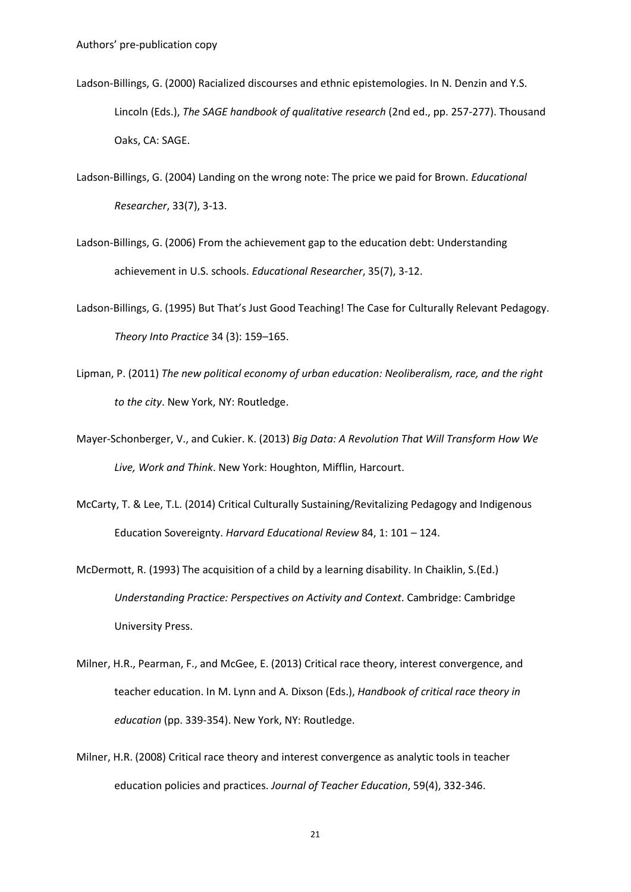- Ladson-Billings, G. (2000) Racialized discourses and ethnic epistemologies. In N. Denzin and Y.S. Lincoln (Eds.), *The SAGE handbook of qualitative research* (2nd ed., pp. 257-277). Thousand Oaks, CA: SAGE.
- Ladson-Billings, G. (2004) Landing on the wrong note: The price we paid for Brown. *Educational Researcher*, 33(7), 3-13.
- Ladson-Billings, G. (2006) From the achievement gap to the education debt: Understanding achievement in U.S. schools. *Educational Researcher*, 35(7), 3-12.
- Ladson-Billings, G. (1995) But That's Just Good Teaching! The Case for Culturally Relevant Pedagogy. *Theory Into Practice* 34 (3): 159–165.
- Lipman, P. (2011) *The new political economy of urban education: Neoliberalism, race, and the right to the city*. New York, NY: Routledge.
- Mayer-Schonberger, V., and Cukier. K. (2013) *Big Data: A Revolution That Will Transform How We Live, Work and Think*. New York: Houghton, Mifflin, Harcourt.
- McCarty, T. & Lee, T.L. (2014) Critical Culturally Sustaining/Revitalizing Pedagogy and Indigenous Education Sovereignty. *Harvard Educational Review* 84, 1: 101 – 124.
- McDermott, R. (1993) The acquisition of a child by a learning disability. In Chaiklin, S.(Ed.) *Understanding Practice: Perspectives on Activity and Context*. Cambridge: Cambridge University Press.
- Milner, H.R., Pearman, F., and McGee, E. (2013) Critical race theory, interest convergence, and teacher education. In M. Lynn and A. Dixson (Eds.), *Handbook of critical race theory in education* (pp. 339-354). New York, NY: Routledge.
- Milner, H.R. (2008) Critical race theory and interest convergence as analytic tools in teacher education policies and practices. *Journal of Teacher Education*, 59(4), 332-346.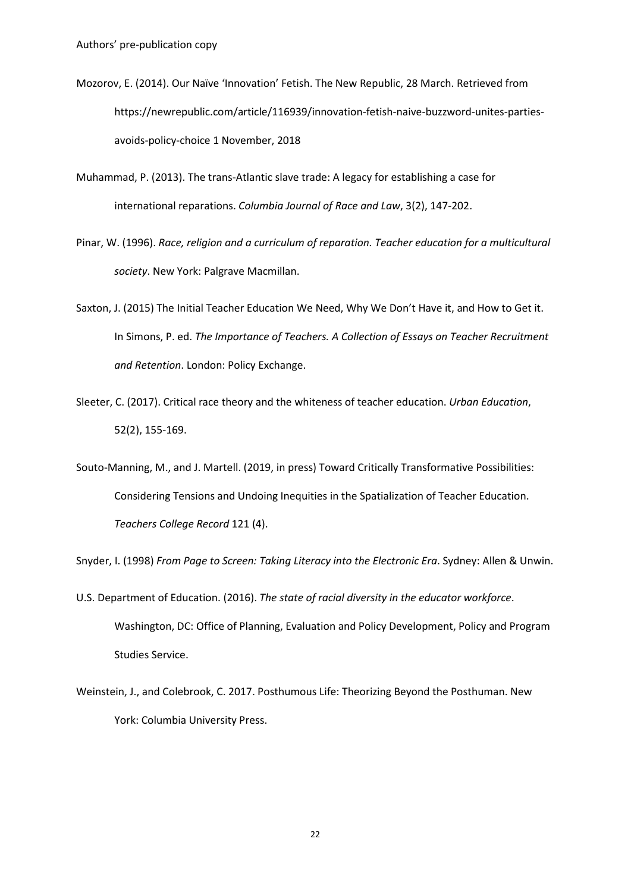- Mozorov, E. (2014). Our Naïve 'Innovation' Fetish. The New Republic, 28 March. Retrieved from [https://newrepublic.com/article/116939/innovation-fetish-naive-buzzword-unites-parties](https://newrepublic.com/article/116939/innovation-fetish-naive-buzzword-unites-parties-avoids-policy-choice)[avoids-policy-choice](https://newrepublic.com/article/116939/innovation-fetish-naive-buzzword-unites-parties-avoids-policy-choice) 1 November, 2018
- Muhammad, P. (2013). The trans-Atlantic slave trade: A legacy for establishing a case for international reparations. *Columbia Journal of Race and Law*, 3(2), 147-202.
- Pinar, W. (1996). *Race, religion and a curriculum of reparation. Teacher education for a multicultural society*. New York: Palgrave Macmillan.
- Saxton, J. (2015) The Initial Teacher Education We Need, Why We Don't Have it, and How to Get it. In Simons, P. ed. *The Importance of Teachers. A Collection of Essays on Teacher Recruitment and Retention*. London: Policy Exchange.
- Sleeter, C. (2017). Critical race theory and the whiteness of teacher education. *Urban Education*, 52(2), 155-169.
- Souto-Manning, M., and J. Martell. (2019, in press) Toward Critically Transformative Possibilities: Considering Tensions and Undoing Inequities in the Spatialization of Teacher Education. *Teachers College Record* 121 (4).

Snyder, I. (1998) *From Page to Screen: Taking Literacy into the Electronic Era*. Sydney: Allen & Unwin.

- U.S. Department of Education. (2016). *The state of racial diversity in the educator workforce*. Washington, DC: Office of Planning, Evaluation and Policy Development, Policy and Program Studies Service.
- Weinstein, J., and Colebrook, C. 2017. Posthumous Life: Theorizing Beyond the Posthuman. New York: Columbia University Press.